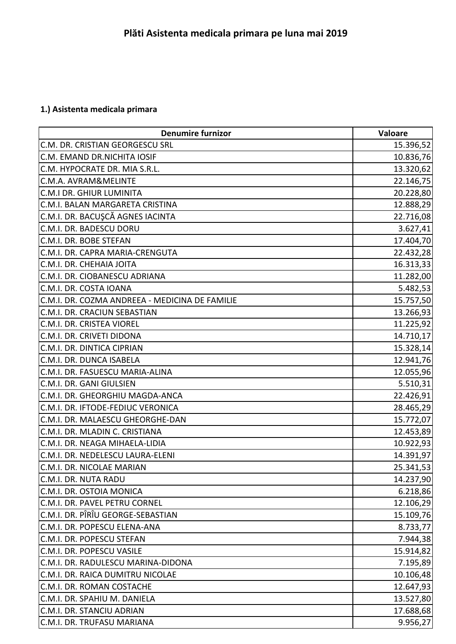## **1.) Asistenta medicala primara**

| <b>Denumire furnizor</b>                       | <b>Valoare</b> |
|------------------------------------------------|----------------|
| C.M. DR. CRISTIAN GEORGESCU SRL                | 15.396,52      |
| C.M. EMAND DR.NICHITA IOSIF                    | 10.836,76      |
| C.M. HYPOCRATE DR. MIA S.R.L.                  | 13.320,62      |
| C.M.A. AVRAM&MELINTE                           | 22.146,75      |
| C.M.I DR. GHIUR LUMINITA                       | 20.228,80      |
| C.M.I. BALAN MARGARETA CRISTINA                | 12.888,29      |
| C.M.I. DR. BACUŞCĂ AGNES IACINTA               | 22.716,08      |
| C.M.I. DR. BADESCU DORU                        | 3.627,41       |
| C.M.I. DR. BOBE STEFAN                         | 17.404,70      |
| C.M.I. DR. CAPRA MARIA-CRENGUTA                | 22.432,28      |
| C.M.I. DR. CHEHAIA JOITA                       | 16.313,33      |
| C.M.I. DR. CIOBANESCU ADRIANA                  | 11.282,00      |
| C.M.I. DR. COSTA IOANA                         | 5.482,53       |
| C.M.I. DR. COZMA ANDREEA - MEDICINA DE FAMILIE | 15.757,50      |
| C.M.I. DR. CRACIUN SEBASTIAN                   | 13.266,93      |
| C.M.I. DR. CRISTEA VIOREL                      | 11.225,92      |
| C.M.I. DR. CRIVETI DIDONA                      | 14.710,17      |
| C.M.I. DR. DINTICA CIPRIAN                     | 15.328,14      |
| C.M.I. DR. DUNCA ISABELA                       | 12.941,76      |
| C.M.I. DR. FASUESCU MARIA-ALINA                | 12.055,96      |
| C.M.I. DR. GANI GIULSIEN                       | 5.510,31       |
| C.M.I. DR. GHEORGHIU MAGDA-ANCA                | 22.426,91      |
| C.M.I. DR. IFTODE-FEDIUC VERONICA              | 28.465,29      |
| C.M.I. DR. MALAESCU GHEORGHE-DAN               | 15.772,07      |
| C.M.I. DR. MLADIN C. CRISTIANA                 | 12.453,89      |
| C.M.I. DR. NEAGA MIHAELA-LIDIA                 | 10.922,93      |
| C.M.I. DR. NEDELESCU LAURA-ELENI               | 14.391,97      |
| C.M.I. DR. NICOLAE MARIAN                      | 25.341,53      |
| C.M.I. DR. NUTA RADU                           | 14.237,90      |
| C.M.I. DR. OSTOIA MONICA                       | 6.218,86       |
| C.M.I. DR. PAVEL PETRU CORNEL                  | 12.106,29      |
| C.M.I. DR. PÎRÎU GEORGE-SEBASTIAN              | 15.109,76      |
| C.M.I. DR. POPESCU ELENA-ANA                   | 8.733,77       |
| C.M.I. DR. POPESCU STEFAN                      | 7.944,38       |
| C.M.I. DR. POPESCU VASILE                      | 15.914,82      |
| C.M.I. DR. RADULESCU MARINA-DIDONA             | 7.195,89       |
| C.M.I. DR. RAICA DUMITRU NICOLAE               | 10.106,48      |
| C.M.I. DR. ROMAN COSTACHE                      | 12.647,93      |
| C.M.I. DR. SPAHIU M. DANIELA                   | 13.527,80      |
| C.M.I. DR. STANCIU ADRIAN                      | 17.688,68      |
| C.M.I. DR. TRUFASU MARIANA                     | 9.956,27       |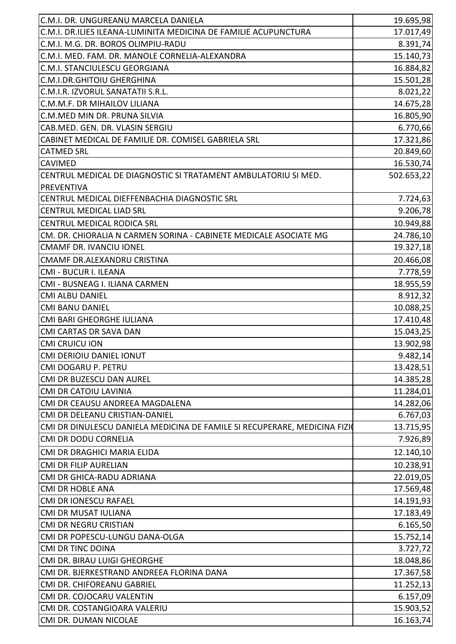| C.M.I. DR. UNGUREANU MARCELA DANIELA                                                                     | 19.695,98  |
|----------------------------------------------------------------------------------------------------------|------------|
| C.M.I. DR.ILIES ILEANA-LUMINITA MEDICINA DE FAMILIE ACUPUNCTURA                                          | 17.017,49  |
| C.M.I. M.G. DR. BOROS OLIMPIU-RADU                                                                       | 8.391,74   |
| C.M.I. MED. FAM. DR. MANOLE CORNELIA-ALEXANDRA                                                           | 15.140,73  |
| C.M.I. STANCIULESCU GEORGIANA                                                                            | 16.884,82  |
| C.M.I.DR.GHITOIU GHERGHINA                                                                               | 15.501,28  |
| C.M.I.R. IZVORUL SANATATII S.R.L.                                                                        | 8.021,22   |
| C.M.M.F. DR MIHAILOV LILIANA                                                                             | 14.675,28  |
| C.M.MED MIN DR. PRUNA SILVIA                                                                             | 16.805,90  |
| CAB.MED. GEN. DR. VLASIN SERGIU                                                                          | 6.770,66   |
| CABINET MEDICAL DE FAMILIE DR. COMISEL GABRIELA SRL                                                      | 17.321,86  |
| <b>CATMED SRL</b>                                                                                        | 20.849,60  |
| <b>CAVIMED</b>                                                                                           | 16.530,74  |
| CENTRUL MEDICAL DE DIAGNOSTIC SI TRATAMENT AMBULATORIU SI MED.                                           | 502.653,22 |
| <b>PREVENTIVA</b>                                                                                        |            |
| CENTRUL MEDICAL DIEFFENBACHIA DIAGNOSTIC SRL                                                             | 7.724,63   |
| <b>CENTRUL MEDICAL LIAD SRL</b>                                                                          | 9.206,78   |
| CENTRUL MEDICAL RODICA SRL                                                                               | 10.949,88  |
| CM. DR. CHIORALIA N CARMEN SORINA - CABINETE MEDICALE ASOCIATE MG                                        | 24.786,10  |
| <b>CMAMF DR. IVANCIU IONEL</b>                                                                           | 19.327,18  |
| CMAMF DR.ALEXANDRU CRISTINA                                                                              | 20.466,08  |
| CMI - BUCUR I. ILEANA                                                                                    | 7.778,59   |
| CMI - BUSNEAG I. ILIANA CARMEN                                                                           | 18.955,59  |
| <b>CMI ALBU DANIEL</b>                                                                                   | 8.912,32   |
| <b>CMI BANU DANIEL</b>                                                                                   | 10.088,25  |
| CMI BARI GHEORGHE IULIANA                                                                                | 17.410,48  |
| <b>CMI CARTAS DR SAVA DAN</b>                                                                            | 15.043,25  |
| <b>CMI CRUICU ION</b>                                                                                    | 13.902,98  |
| CMI DERIOIU DANIEL IONUT                                                                                 | 9.482,14   |
| <b>CMI DOGARU P. PETRU</b>                                                                               | 13.428,51  |
| CMI DR BUZESCU DAN AUREL                                                                                 | 14.385,28  |
| <b>CMI DR CATOIU LAVINIA</b>                                                                             | 11.284,01  |
| CMI DR CEAUSU ANDREEA MAGDALENA                                                                          | 14.282,06  |
| CMI DR DELEANU CRISTIAN-DANIEL                                                                           | 6.767,03   |
|                                                                                                          |            |
| CMI DR DINULESCU DANIELA MEDICINA DE FAMILE SI RECUPERARE, MEDICINA FIZIO<br><b>CMI DR DODU CORNELIA</b> | 13.715,95  |
|                                                                                                          | 7.926,89   |
| CMI DR DRAGHICI MARIA ELIDA                                                                              | 12.140,10  |
| <b>CMI DR FILIP AURELIAN</b>                                                                             | 10.238,91  |
| CMI DR GHICA-RADU ADRIANA                                                                                | 22.019,05  |
| <b>CMI DR HOBLE ANA</b>                                                                                  | 17.569,48  |
| <b>CMI DR IONESCU RAFAEL</b>                                                                             | 14.191,93  |
| CMI DR MUSAT IULIANA                                                                                     | 17.183,49  |
| CMI DR NEGRU CRISTIAN                                                                                    | 6.165,50   |
| CMI DR POPESCU-LUNGU DANA-OLGA                                                                           | 15.752,14  |
| <b>CMI DR TINC DOINA</b>                                                                                 | 3.727,72   |
| CMI DR. BIRAU LUIGI GHEORGHE                                                                             | 18.048,86  |
| CMI DR. BJERKESTRAND ANDREEA FLORINA DANA                                                                | 17.367,58  |
| CMI DR. CHIFOREANU GABRIEL                                                                               | 11.252,13  |
| CMI DR. COJOCARU VALENTIN                                                                                | 6.157,09   |
| CMI DR. COSTANGIOARA VALERIU                                                                             | 15.903,52  |
| CMI DR. DUMAN NICOLAE                                                                                    | 16.163,74  |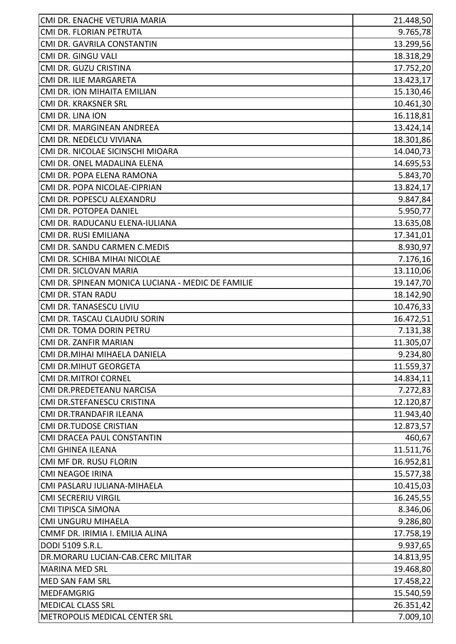| CMI DR. FLORIAN PETRUTA<br>CMI DR. GAVRILA CONSTANTIN<br>CMI DR. GINGU VALI<br>CMI DR. GUZU CRISTINA<br>CMI DR. ILIE MARGARETA<br>CMI DR. ION MIHAITA EMILIAN<br>CMI DR. KRAKSNER SRL<br>CMI DR. LINA ION<br>16.118,81<br>CMI DR. MARGINEAN ANDREEA<br>CMI DR. NEDELCU VIVIANA<br>CMI DR. NICOLAE SICINSCHI MIOARA<br>CMI DR. ONEL MADALINA ELENA<br>CMI DR. POPA ELENA RAMONA<br>CMI DR. POPA NICOLAE-CIPRIAN<br>CMI DR. POPESCU ALEXANDRU<br>CMI DR. POTOPEA DANIEL<br>CMI DR. RADUCANU ELENA-IULIANA<br>CMI DR. RUSI EMILIANA<br>CMI DR. SANDU CARMEN C.MEDIS<br>CMI DR. SCHIBA MIHAI NICOLAE<br>CMI DR. SICLOVAN MARIA<br>CMI DR. SPINEAN MONICA LUCIANA - MEDIC DE FAMILIE<br><b>CMI DR. STAN RADU</b><br>CMI DR. TANASESCU LIVIU<br>CMI DR. TASCAU CLAUDIU SORIN<br>CMI DR. TOMA DORIN PETRU<br>CMI DR. ZANFIR MARIAN<br>CMI DR.MIHAI MIHAELA DANIELA<br><b>CMI DR.MIHUT GEORGETA</b><br><b>CMI DR.MITROI CORNEL</b><br>CMI DR.PREDETEANU NARCISA<br>CMI DR.STEFANESCU CRISTINA<br>CMI DR.TRANDAFIR ILEANA<br><b>CMI DR.TUDOSE CRISTIAN</b><br>CMI DRACEA PAUL CONSTANTIN<br><b>CMI GHINEA ILEANA</b><br>CMI MF DR. RUSU FLORIN<br><b>CMI NEAGOE IRINA</b><br>CMI PASLARU IULIANA-MIHAELA<br><b>CMI SECRERIU VIRGIL</b><br>16.245,55<br>CMI TIPISCA SIMONA<br>CMI UNGURU MIHAELA<br>CMMF DR. IRIMIA I. EMILIA ALINA<br>DODI 5109 S.R.L.<br>DR.MORARU LUCIAN-CAB.CERC MILITAR<br><b>MARINA MED SRL</b><br>MED SAN FAM SRL<br><b>MEDFAMGRIG</b><br><b>MEDICAL CLASS SRL</b> | CMI DR. ENACHE VETURIA MARIA | 21.448,50 |
|---------------------------------------------------------------------------------------------------------------------------------------------------------------------------------------------------------------------------------------------------------------------------------------------------------------------------------------------------------------------------------------------------------------------------------------------------------------------------------------------------------------------------------------------------------------------------------------------------------------------------------------------------------------------------------------------------------------------------------------------------------------------------------------------------------------------------------------------------------------------------------------------------------------------------------------------------------------------------------------------------------------------------------------------------------------------------------------------------------------------------------------------------------------------------------------------------------------------------------------------------------------------------------------------------------------------------------------------------------------------------------------------------------------------------------------------------------------------------------|------------------------------|-----------|
| 13.299,56<br>18.318,29<br>17.752,20<br>13.423,17<br>15.130,46<br>10.461,30                                                                                                                                                                                                                                                                                                                                                                                                                                                                                                                                                                                                                                                                                                                                                                                                                                                                                                                                                                                                                                                                                                                                                                                                                                                                                                                                                                                                      |                              | 9.765,78  |
|                                                                                                                                                                                                                                                                                                                                                                                                                                                                                                                                                                                                                                                                                                                                                                                                                                                                                                                                                                                                                                                                                                                                                                                                                                                                                                                                                                                                                                                                                 |                              |           |
|                                                                                                                                                                                                                                                                                                                                                                                                                                                                                                                                                                                                                                                                                                                                                                                                                                                                                                                                                                                                                                                                                                                                                                                                                                                                                                                                                                                                                                                                                 |                              |           |
|                                                                                                                                                                                                                                                                                                                                                                                                                                                                                                                                                                                                                                                                                                                                                                                                                                                                                                                                                                                                                                                                                                                                                                                                                                                                                                                                                                                                                                                                                 |                              |           |
|                                                                                                                                                                                                                                                                                                                                                                                                                                                                                                                                                                                                                                                                                                                                                                                                                                                                                                                                                                                                                                                                                                                                                                                                                                                                                                                                                                                                                                                                                 |                              |           |
|                                                                                                                                                                                                                                                                                                                                                                                                                                                                                                                                                                                                                                                                                                                                                                                                                                                                                                                                                                                                                                                                                                                                                                                                                                                                                                                                                                                                                                                                                 |                              |           |
|                                                                                                                                                                                                                                                                                                                                                                                                                                                                                                                                                                                                                                                                                                                                                                                                                                                                                                                                                                                                                                                                                                                                                                                                                                                                                                                                                                                                                                                                                 |                              |           |
| 13.424,14<br>18.301,86<br>14.040,73<br>14.695,53<br>5.843,70<br>13.824,17<br>9.847,84<br>5.950,77<br>13.635,08<br>17.341,01<br>8.930,97<br>7.176,16<br>13.110,06<br>19.147,70<br>18.142,90<br>10.476,33<br>16.472,51<br>7.131,38<br>11.305,07<br>9.234,80<br>11.559,37<br>14.834,11<br>7.272,83<br>12.120,87<br>11.943,40<br>12.873,57<br>460,67<br>11.511,76<br>16.952,81<br>15.577,38<br>10.415,03<br>8.346,06<br>9.286,80<br>17.758,19<br>9.937,65<br>14.813,95<br>19.468,80<br>17.458,22<br>15.540,59<br>26.351,42                                                                                                                                                                                                                                                                                                                                                                                                                                                                                                                                                                                                                                                                                                                                                                                                                                                                                                                                                          |                              |           |
|                                                                                                                                                                                                                                                                                                                                                                                                                                                                                                                                                                                                                                                                                                                                                                                                                                                                                                                                                                                                                                                                                                                                                                                                                                                                                                                                                                                                                                                                                 |                              |           |
|                                                                                                                                                                                                                                                                                                                                                                                                                                                                                                                                                                                                                                                                                                                                                                                                                                                                                                                                                                                                                                                                                                                                                                                                                                                                                                                                                                                                                                                                                 |                              |           |
|                                                                                                                                                                                                                                                                                                                                                                                                                                                                                                                                                                                                                                                                                                                                                                                                                                                                                                                                                                                                                                                                                                                                                                                                                                                                                                                                                                                                                                                                                 |                              |           |
|                                                                                                                                                                                                                                                                                                                                                                                                                                                                                                                                                                                                                                                                                                                                                                                                                                                                                                                                                                                                                                                                                                                                                                                                                                                                                                                                                                                                                                                                                 |                              |           |
|                                                                                                                                                                                                                                                                                                                                                                                                                                                                                                                                                                                                                                                                                                                                                                                                                                                                                                                                                                                                                                                                                                                                                                                                                                                                                                                                                                                                                                                                                 |                              |           |
|                                                                                                                                                                                                                                                                                                                                                                                                                                                                                                                                                                                                                                                                                                                                                                                                                                                                                                                                                                                                                                                                                                                                                                                                                                                                                                                                                                                                                                                                                 |                              |           |
|                                                                                                                                                                                                                                                                                                                                                                                                                                                                                                                                                                                                                                                                                                                                                                                                                                                                                                                                                                                                                                                                                                                                                                                                                                                                                                                                                                                                                                                                                 |                              |           |
|                                                                                                                                                                                                                                                                                                                                                                                                                                                                                                                                                                                                                                                                                                                                                                                                                                                                                                                                                                                                                                                                                                                                                                                                                                                                                                                                                                                                                                                                                 |                              |           |
|                                                                                                                                                                                                                                                                                                                                                                                                                                                                                                                                                                                                                                                                                                                                                                                                                                                                                                                                                                                                                                                                                                                                                                                                                                                                                                                                                                                                                                                                                 |                              |           |
|                                                                                                                                                                                                                                                                                                                                                                                                                                                                                                                                                                                                                                                                                                                                                                                                                                                                                                                                                                                                                                                                                                                                                                                                                                                                                                                                                                                                                                                                                 |                              |           |
|                                                                                                                                                                                                                                                                                                                                                                                                                                                                                                                                                                                                                                                                                                                                                                                                                                                                                                                                                                                                                                                                                                                                                                                                                                                                                                                                                                                                                                                                                 |                              |           |
|                                                                                                                                                                                                                                                                                                                                                                                                                                                                                                                                                                                                                                                                                                                                                                                                                                                                                                                                                                                                                                                                                                                                                                                                                                                                                                                                                                                                                                                                                 |                              |           |
|                                                                                                                                                                                                                                                                                                                                                                                                                                                                                                                                                                                                                                                                                                                                                                                                                                                                                                                                                                                                                                                                                                                                                                                                                                                                                                                                                                                                                                                                                 |                              |           |
|                                                                                                                                                                                                                                                                                                                                                                                                                                                                                                                                                                                                                                                                                                                                                                                                                                                                                                                                                                                                                                                                                                                                                                                                                                                                                                                                                                                                                                                                                 |                              |           |
|                                                                                                                                                                                                                                                                                                                                                                                                                                                                                                                                                                                                                                                                                                                                                                                                                                                                                                                                                                                                                                                                                                                                                                                                                                                                                                                                                                                                                                                                                 |                              |           |
|                                                                                                                                                                                                                                                                                                                                                                                                                                                                                                                                                                                                                                                                                                                                                                                                                                                                                                                                                                                                                                                                                                                                                                                                                                                                                                                                                                                                                                                                                 |                              |           |
|                                                                                                                                                                                                                                                                                                                                                                                                                                                                                                                                                                                                                                                                                                                                                                                                                                                                                                                                                                                                                                                                                                                                                                                                                                                                                                                                                                                                                                                                                 |                              |           |
|                                                                                                                                                                                                                                                                                                                                                                                                                                                                                                                                                                                                                                                                                                                                                                                                                                                                                                                                                                                                                                                                                                                                                                                                                                                                                                                                                                                                                                                                                 |                              |           |
|                                                                                                                                                                                                                                                                                                                                                                                                                                                                                                                                                                                                                                                                                                                                                                                                                                                                                                                                                                                                                                                                                                                                                                                                                                                                                                                                                                                                                                                                                 |                              |           |
|                                                                                                                                                                                                                                                                                                                                                                                                                                                                                                                                                                                                                                                                                                                                                                                                                                                                                                                                                                                                                                                                                                                                                                                                                                                                                                                                                                                                                                                                                 |                              |           |
|                                                                                                                                                                                                                                                                                                                                                                                                                                                                                                                                                                                                                                                                                                                                                                                                                                                                                                                                                                                                                                                                                                                                                                                                                                                                                                                                                                                                                                                                                 |                              |           |
|                                                                                                                                                                                                                                                                                                                                                                                                                                                                                                                                                                                                                                                                                                                                                                                                                                                                                                                                                                                                                                                                                                                                                                                                                                                                                                                                                                                                                                                                                 |                              |           |
|                                                                                                                                                                                                                                                                                                                                                                                                                                                                                                                                                                                                                                                                                                                                                                                                                                                                                                                                                                                                                                                                                                                                                                                                                                                                                                                                                                                                                                                                                 |                              |           |
|                                                                                                                                                                                                                                                                                                                                                                                                                                                                                                                                                                                                                                                                                                                                                                                                                                                                                                                                                                                                                                                                                                                                                                                                                                                                                                                                                                                                                                                                                 |                              |           |
|                                                                                                                                                                                                                                                                                                                                                                                                                                                                                                                                                                                                                                                                                                                                                                                                                                                                                                                                                                                                                                                                                                                                                                                                                                                                                                                                                                                                                                                                                 |                              |           |
|                                                                                                                                                                                                                                                                                                                                                                                                                                                                                                                                                                                                                                                                                                                                                                                                                                                                                                                                                                                                                                                                                                                                                                                                                                                                                                                                                                                                                                                                                 |                              |           |
|                                                                                                                                                                                                                                                                                                                                                                                                                                                                                                                                                                                                                                                                                                                                                                                                                                                                                                                                                                                                                                                                                                                                                                                                                                                                                                                                                                                                                                                                                 |                              |           |
|                                                                                                                                                                                                                                                                                                                                                                                                                                                                                                                                                                                                                                                                                                                                                                                                                                                                                                                                                                                                                                                                                                                                                                                                                                                                                                                                                                                                                                                                                 |                              |           |
|                                                                                                                                                                                                                                                                                                                                                                                                                                                                                                                                                                                                                                                                                                                                                                                                                                                                                                                                                                                                                                                                                                                                                                                                                                                                                                                                                                                                                                                                                 |                              |           |
|                                                                                                                                                                                                                                                                                                                                                                                                                                                                                                                                                                                                                                                                                                                                                                                                                                                                                                                                                                                                                                                                                                                                                                                                                                                                                                                                                                                                                                                                                 |                              |           |
|                                                                                                                                                                                                                                                                                                                                                                                                                                                                                                                                                                                                                                                                                                                                                                                                                                                                                                                                                                                                                                                                                                                                                                                                                                                                                                                                                                                                                                                                                 |                              |           |
|                                                                                                                                                                                                                                                                                                                                                                                                                                                                                                                                                                                                                                                                                                                                                                                                                                                                                                                                                                                                                                                                                                                                                                                                                                                                                                                                                                                                                                                                                 |                              |           |
|                                                                                                                                                                                                                                                                                                                                                                                                                                                                                                                                                                                                                                                                                                                                                                                                                                                                                                                                                                                                                                                                                                                                                                                                                                                                                                                                                                                                                                                                                 |                              |           |
|                                                                                                                                                                                                                                                                                                                                                                                                                                                                                                                                                                                                                                                                                                                                                                                                                                                                                                                                                                                                                                                                                                                                                                                                                                                                                                                                                                                                                                                                                 |                              |           |
|                                                                                                                                                                                                                                                                                                                                                                                                                                                                                                                                                                                                                                                                                                                                                                                                                                                                                                                                                                                                                                                                                                                                                                                                                                                                                                                                                                                                                                                                                 |                              |           |
|                                                                                                                                                                                                                                                                                                                                                                                                                                                                                                                                                                                                                                                                                                                                                                                                                                                                                                                                                                                                                                                                                                                                                                                                                                                                                                                                                                                                                                                                                 |                              |           |
|                                                                                                                                                                                                                                                                                                                                                                                                                                                                                                                                                                                                                                                                                                                                                                                                                                                                                                                                                                                                                                                                                                                                                                                                                                                                                                                                                                                                                                                                                 |                              |           |
|                                                                                                                                                                                                                                                                                                                                                                                                                                                                                                                                                                                                                                                                                                                                                                                                                                                                                                                                                                                                                                                                                                                                                                                                                                                                                                                                                                                                                                                                                 |                              |           |
|                                                                                                                                                                                                                                                                                                                                                                                                                                                                                                                                                                                                                                                                                                                                                                                                                                                                                                                                                                                                                                                                                                                                                                                                                                                                                                                                                                                                                                                                                 |                              |           |
|                                                                                                                                                                                                                                                                                                                                                                                                                                                                                                                                                                                                                                                                                                                                                                                                                                                                                                                                                                                                                                                                                                                                                                                                                                                                                                                                                                                                                                                                                 |                              |           |
|                                                                                                                                                                                                                                                                                                                                                                                                                                                                                                                                                                                                                                                                                                                                                                                                                                                                                                                                                                                                                                                                                                                                                                                                                                                                                                                                                                                                                                                                                 |                              |           |
| 7.009,10<br><b>METROPOLIS MEDICAL CENTER SRL</b>                                                                                                                                                                                                                                                                                                                                                                                                                                                                                                                                                                                                                                                                                                                                                                                                                                                                                                                                                                                                                                                                                                                                                                                                                                                                                                                                                                                                                                |                              |           |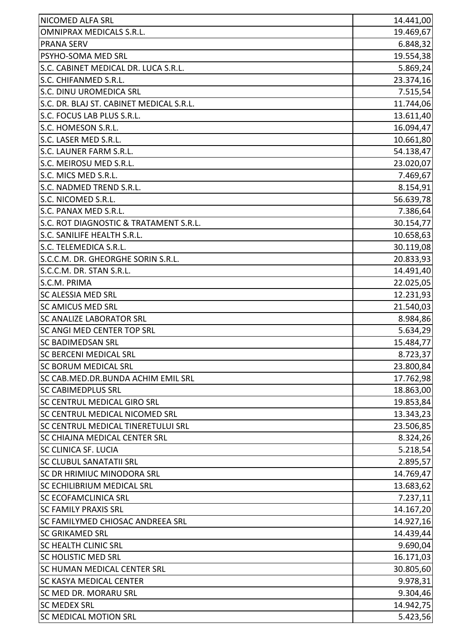| NICOMED ALFA SRL                         | 14.441,00 |
|------------------------------------------|-----------|
| <b>OMNIPRAX MEDICALS S.R.L.</b>          | 19.469,67 |
| <b>PRANA SERV</b>                        | 6.848,32  |
| <b>PSYHO-SOMA MED SRL</b>                | 19.554,38 |
| S.C. CABINET MEDICAL DR. LUCA S.R.L.     | 5.869,24  |
| S.C. CHIFANMED S.R.L.                    | 23.374,16 |
| S.C. DINU UROMEDICA SRL                  | 7.515,54  |
| S.C. DR. BLAJ ST. CABINET MEDICAL S.R.L. | 11.744,06 |
| S.C. FOCUS LAB PLUS S.R.L.               | 13.611,40 |
| S.C. HOMESON S.R.L.                      | 16.094,47 |
| S.C. LASER MED S.R.L.                    | 10.661,80 |
| S.C. LAUNER FARM S.R.L.                  | 54.138,47 |
| S.C. MEIROSU MED S.R.L.                  | 23.020,07 |
| S.C. MICS MED S.R.L.                     | 7.469,67  |
| S.C. NADMED TREND S.R.L.                 | 8.154,91  |
| S.C. NICOMED S.R.L.                      | 56.639,78 |
| S.C. PANAX MED S.R.L.                    | 7.386,64  |
| S.C. ROT DIAGNOSTIC & TRATAMENT S.R.L.   | 30.154,77 |
| S.C. SANILIFE HEALTH S.R.L.              | 10.658,63 |
| S.C. TELEMEDICA S.R.L.                   | 30.119,08 |
| S.C.C.M. DR. GHEORGHE SORIN S.R.L.       | 20.833,93 |
| S.C.C.M. DR. STAN S.R.L.                 | 14.491,40 |
| S.C.M. PRIMA                             | 22.025,05 |
| <b>SC ALESSIA MED SRL</b>                | 12.231,93 |
| <b>SC AMICUS MED SRL</b>                 | 21.540,03 |
| <b>SC ANALIZE LABORATOR SRL</b>          | 8.984,86  |
| SC ANGI MED CENTER TOP SRL               | 5.634,29  |
| <b>SC BADIMEDSAN SRL</b>                 | 15.484,77 |
| ISC BERCENI MEDICAL SRL                  | 8.723,37  |
| <b>SC BORUM MEDICAL SRL</b>              | 23.800,84 |
| SC CAB.MED.DR.BUNDA ACHIM EMIL SRL       | 17.762,98 |
| <b>SC CABIMEDPLUS SRL</b>                | 18.863,00 |
| <b>SC CENTRUL MEDICAL GIRO SRL</b>       | 19.853,84 |
| <b>SC CENTRUL MEDICAL NICOMED SRL</b>    | 13.343,23 |
| SC CENTRUL MEDICAL TINERETULUI SRL       | 23.506,85 |
| <b>SC CHIAJNA MEDICAL CENTER SRL</b>     | 8.324,26  |
| <b>SC CLINICA SF. LUCIA</b>              | 5.218,54  |
| <b>SC CLUBUL SANATATII SRL</b>           | 2.895,57  |
| <b>SC DR HRIMIUC MINODORA SRL</b>        | 14.769,47 |
| <b>SC ECHILIBRIUM MEDICAL SRL</b>        | 13.683,62 |
| <b>SC ECOFAMCLINICA SRL</b>              | 7.237,11  |
| <b>SC FAMILY PRAXIS SRL</b>              | 14.167,20 |
| <b>SC FAMILYMED CHIOSAC ANDREEA SRL</b>  | 14.927,16 |
| <b>SC GRIKAMED SRL</b>                   | 14.439,44 |
| <b>SC HEALTH CLINIC SRL</b>              | 9.690,04  |
| <b>SC HOLISTIC MED SRL</b>               | 16.171,03 |
| SC HUMAN MEDICAL CENTER SRL              | 30.805,60 |
| <b>SC KASYA MEDICAL CENTER</b>           | 9.978,31  |
| <b>SC MED DR. MORARU SRL</b>             | 9.304,46  |
| <b>SC MEDEX SRL</b>                      | 14.942,75 |
| <b>SC MEDICAL MOTION SRL</b>             | 5.423,56  |